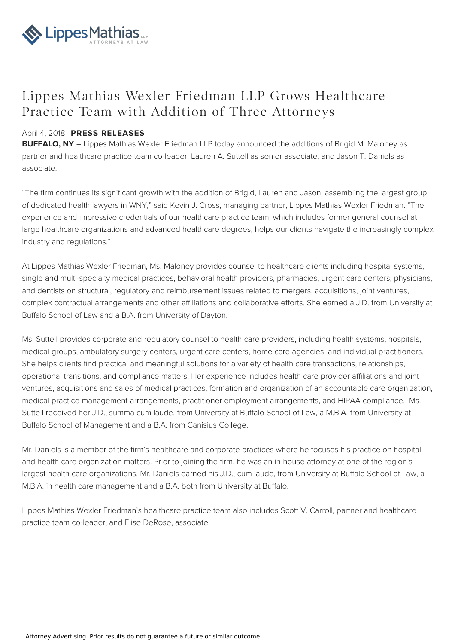

## Lippes Mathias Wexler Friedman LLP Grows Healthcare Practice Team with Addition of Three Attorneys

## April 4, 2018 | **PRESS RELEASES**

**BUFFALO, NY** – Lippes Mathias Wexler Friedman LLP today announced the additions of Brigid M. Maloney as partner and healthcare practice team co-leader, Lauren A. Suttell as senior associate, and Jason T. Daniels as associate.

"The firm continues its significant growth with the addition of Brigid, Lauren and Jason, assembling the largest group of dedicated health lawyers in WNY," said Kevin J. Cross, managing partner, Lippes Mathias Wexler Friedman. "The experience and impressive credentials of our healthcare practice team, which includes former general counsel at large healthcare organizations and advanced healthcare degrees, helps our clients navigate the increasingly complex industry and regulations."

At Lippes Mathias Wexler Friedman, Ms. Maloney provides counsel to healthcare clients including hospital systems, single and multi-specialty medical practices, behavioral health providers, pharmacies, urgent care centers, physicians, and dentists on structural, regulatory and reimbursement issues related to mergers, acquisitions, joint ventures, complex contractual arrangements and other affiliations and collaborative efforts. She earned a J.D. from University at Buffalo School of Law and a B.A. from University of Dayton.

Ms. Suttell provides corporate and regulatory counsel to health care providers, including health systems, hospitals, medical groups, ambulatory surgery centers, urgent care centers, home care agencies, and individual practitioners. She helps clients find practical and meaningful solutions for a variety of health care transactions, relationships, operational transitions, and compliance matters. Her experience includes health care provider affiliations and joint ventures, acquisitions and sales of medical practices, formation and organization of an accountable care organization, medical practice management arrangements, practitioner employment arrangements, and HIPAA compliance. Ms. Suttell received her J.D., summa cum laude, from University at Buffalo School of Law, a M.B.A. from University at Buffalo School of Management and a B.A. from Canisius College.

Mr. Daniels is a member of the firm's healthcare and corporate practices where he focuses his practice on hospital and health care organization matters. Prior to joining the firm, he was an in-house attorney at one of the region's largest health care organizations. Mr. Daniels earned his J.D., cum laude, from University at Buffalo School of Law, a M.B.A. in health care management and a B.A. both from University at Buffalo.

Lippes Mathias Wexler Friedman's healthcare practice team also includes Scott V. Carroll, partner and healthcare practice team co-leader, and Elise DeRose, associate.